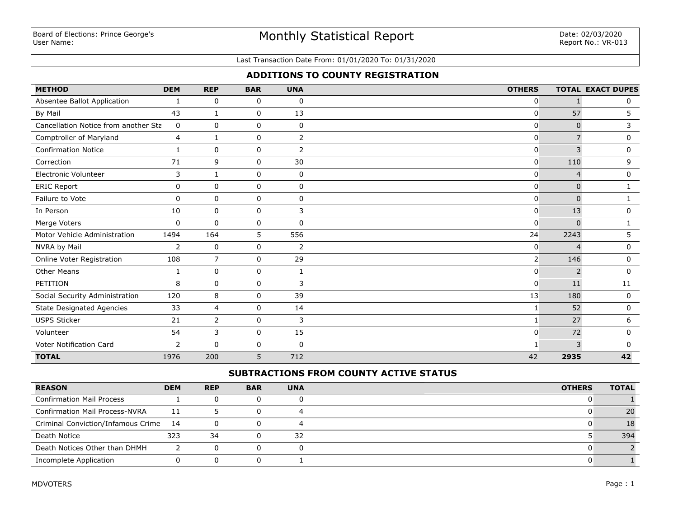# Monthly Statistical Report

#### Last Transaction Date From: 01/01/2020 To: 01/31/2020

## **ADDITIONS TO COUNTY REGISTRATION**

| <b>METHOD</b>                        | <b>DEM</b>   | <b>REP</b>     | <b>BAR</b>  | <b>UNA</b>     | <b>OTHERS</b>  |                | <b>TOTAL EXACT DUPES</b> |
|--------------------------------------|--------------|----------------|-------------|----------------|----------------|----------------|--------------------------|
| Absentee Ballot Application          | 1            | 0              | 0           | $\mathbf 0$    | 0              |                | 0                        |
| By Mail                              | 43           | $\mathbf{1}$   | 0           | 13             | 0              | 57             | 5                        |
| Cancellation Notice from another Sta | 0            | $\mathbf 0$    | 0           | 0              | 0              | $\mathbf{0}$   | 3                        |
| <b>Comptroller of Maryland</b>       | 4            | $\mathbf{1}$   | 0           | $\overline{2}$ | 0              | $\overline{7}$ | 0                        |
| <b>Confirmation Notice</b>           | $\mathbf{1}$ | $\mathbf 0$    | 0           | $\overline{2}$ | 0              | 3              | 0                        |
| Correction                           | 71           | 9              | 0           | 30             | 0              | 110            | 9                        |
| <b>Electronic Volunteer</b>          | 3            | 1              | 0           | 0              | 0              | $\overline{4}$ | 0                        |
| <b>ERIC Report</b>                   | $\mathbf 0$  | $\mathbf 0$    | $\mathbf 0$ | $\mathbf 0$    | 0              | $\Omega$       | 1                        |
| Failure to Vote                      | $\mathbf 0$  | $\mathbf 0$    | 0           | $\mathbf 0$    | 0              | $\Omega$       | 1.                       |
| In Person                            | 10           | $\mathbf 0$    | 0           | 3              | 0              | 13             | $\mathbf{0}$             |
| Merge Voters                         | 0            | $\Omega$       | 0           | $\mathbf 0$    | 0              | $\Omega$       |                          |
| Motor Vehicle Administration         | 1494         | 164            | 5           | 556            | 24             | 2243           | 5.                       |
| NVRA by Mail                         | 2            | $\mathbf 0$    | $\mathbf 0$ | 2              | 0              | $\Delta$       | $\mathbf 0$              |
| Online Voter Registration            | 108          | $\overline{7}$ | $\mathbf 0$ | 29             | $\overline{2}$ | 146            | 0                        |
| <b>Other Means</b>                   | 1            | $\mathbf 0$    | 0           | $\mathbf{1}$   | 0              | $\overline{2}$ | $\mathbf 0$              |
| PETITION                             | 8            | $\mathbf 0$    | $\mathbf 0$ | 3              | 0              | 11             | 11                       |
| Social Security Administration       | 120          | 8              | $\mathbf 0$ | 39             | 13             | 180            | $\mathbf 0$              |
| <b>State Designated Agencies</b>     | 33           | $\overline{4}$ | 0           | 14             |                | 52             | 0                        |
| <b>USPS Sticker</b>                  | 21           | $\overline{2}$ | $\mathbf 0$ | 3              | 1              | 27             | 6                        |
| Volunteer                            | 54           | 3              | $\mathbf 0$ | 15             | $\mathbf{0}$   | 72             | 0                        |
| Voter Notification Card              | 2            | 0              | 0           | 0              |                | 3              | $\mathbf{0}$             |
| <b>TOTAL</b>                         | 1976         | 200            | 5           | 712            | 42             | 2935           | 42                       |

## **SUBTRACTIONS FROM COUNTY ACTIVE STATUS**

| <b>REASON</b>                         | <b>DEM</b> | <b>REP</b> | <b>BAR</b> | <b>UNA</b> | <b>OTHERS</b> | <b>TOTAL</b> |
|---------------------------------------|------------|------------|------------|------------|---------------|--------------|
| <b>Confirmation Mail Process</b>      |            |            |            |            |               |              |
| <b>Confirmation Mail Process-NVRA</b> | 11         |            |            |            |               | 20           |
| Criminal Conviction/Infamous Crime    | - 14       |            |            |            |               |              |
| Death Notice                          | 323        | 34         |            | 32         |               | 394          |
| Death Notices Other than DHMH         |            | 0          |            |            |               |              |
| Incomplete Application                |            |            |            |            |               |              |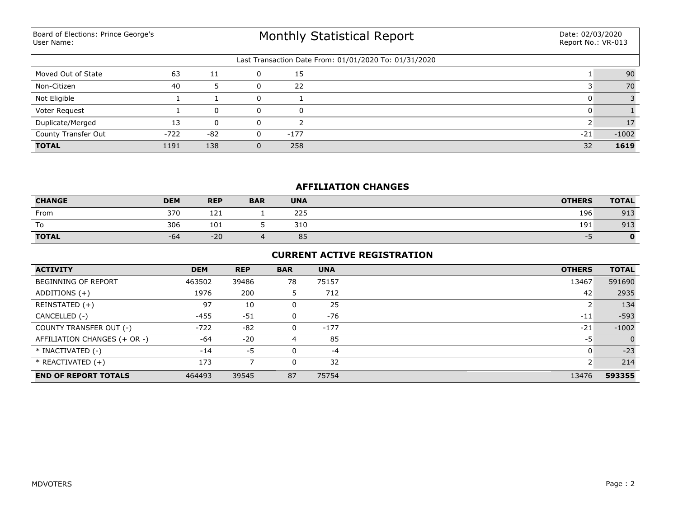Board of Elections: Prince George's User Name:

# Monthly Statistical Report

| Last Transaction Date From: 01/01/2020 To: 01/31/2020 |        |       |  |        |       |         |  |  |  |  |
|-------------------------------------------------------|--------|-------|--|--------|-------|---------|--|--|--|--|
| Moved Out of State                                    | 63     | 11    |  | 15     |       | 90      |  |  |  |  |
| Non-Citizen                                           | 40     |       |  | 22     |       | 70      |  |  |  |  |
| Not Eligible                                          |        |       |  |        |       |         |  |  |  |  |
| Voter Request                                         |        | 0     |  | 0      |       |         |  |  |  |  |
| Duplicate/Merged                                      | 13     |       |  |        |       | 17      |  |  |  |  |
| <b>County Transfer Out</b>                            | $-722$ | $-82$ |  | $-177$ | $-21$ | $-1002$ |  |  |  |  |
| <b>TOTAL</b>                                          | 1191   | 138   |  | 258    | 32    | 1619    |  |  |  |  |

## **AFFILIATION CHANGES**

| <b>CHANGE</b>            | <b>DEM</b> | <b>REP</b> | <b>BAR</b> | <b>UNA</b> | <b>OTHERS</b> | <b>TOTAL</b> |
|--------------------------|------------|------------|------------|------------|---------------|--------------|
| From                     | 370        | 121<br>ᆂᄼᆂ |            | 225        | 196           | 913          |
| $\overline{\phantom{a}}$ | 306        | 101        |            | 310        | 191           | 913          |
| <b>TOTAL</b>             | -64        | $-20$      |            | 85         |               | 0            |

## **CURRENT ACTIVE REGISTRATION**

| <b>ACTIVITY</b>              | <b>DEM</b> | <b>REP</b> | <b>BAR</b> | <b>UNA</b> | <b>OTHERS</b> | <b>TOTAL</b>   |
|------------------------------|------------|------------|------------|------------|---------------|----------------|
| <b>BEGINNING OF REPORT</b>   | 463502     | 39486      | 78         | 75157      | 13467         | 591690         |
| ADDITIONS $(+)$              | 1976       | 200        | 5          | 712        | 42            | 2935           |
| REINSTATED (+)               | 97         | 10         |            | 25         |               | 134            |
| CANCELLED (-)                | $-455$     | $-51$      |            | $-76$      | $-11$         | $-593$         |
| COUNTY TRANSFER OUT (-)      | $-722$     | $-82$      | 0          | $-177$     | $-21$         | $-1002$        |
| AFFILIATION CHANGES (+ OR -) | $-64$      | $-20$      | 4          | 85         | -5            | $\overline{0}$ |
| * INACTIVATED (-)            | $-14$      | -5         |            | $-4$       |               | $-23$          |
| $*$ REACTIVATED $(+)$        | 173        |            |            | 32         |               | 214            |
| <b>END OF REPORT TOTALS</b>  | 464493     | 39545      | 87         | 75754      | 13476         | 593355         |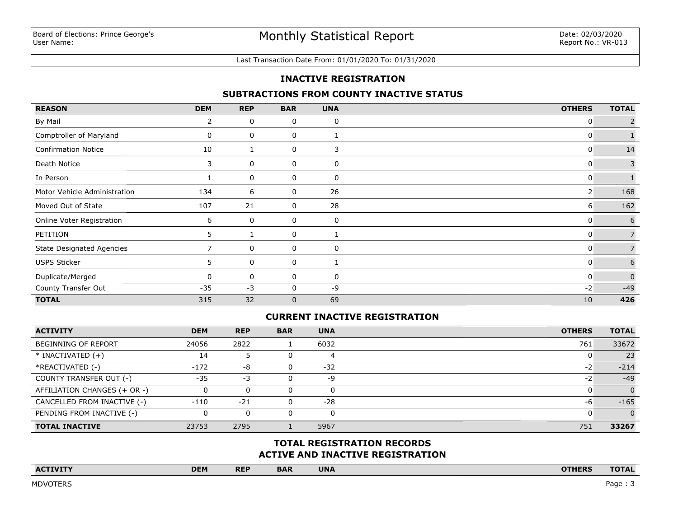#### Last Transaction Date From: 01/01/2020 To: 01/31/2020

### **INACTIVE REGISTRATION**

### **SUBTRACTIONS FROM COUNTY INACTIVE STATUS**

| <b>REASON</b>                    | <b>DEM</b> | <b>REP</b> | <b>BAR</b>   | <b>UNA</b> | <b>OTHERS</b> | <b>TOTAL</b>   |
|----------------------------------|------------|------------|--------------|------------|---------------|----------------|
| By Mail                          | 2          | 0          | 0            | 0          | 0             |                |
| Comptroller of Maryland          | 0          | 0          | 0            |            | 0             |                |
| <b>Confirmation Notice</b>       | 10         |            | 0            | 3          | 0             | 14             |
| Death Notice                     | 3          | 0          | 0            | 0          | 0             | 3              |
| In Person                        |            | 0          | 0            | 0          | 0             |                |
| Motor Vehicle Administration     | 134        | 6          | 0            | 26         | 2             | 168            |
| Moved Out of State               | 107        | 21         | 0            | 28         | 6             | 162            |
| Online Voter Registration        | 6          | 0          | 0            | 0          | 0             | 6              |
| PETITION                         | 5.         |            | 0            |            | 0             | $\overline{7}$ |
| <b>State Designated Agencies</b> |            | 0          | 0            | 0          | 0             |                |
| <b>USPS Sticker</b>              | 5          | 0          | 0            |            | 0             | 6              |
| Duplicate/Merged                 | 0          | 0          | 0            | 0          | 0             | $\Omega$       |
| County Transfer Out              | $-35$      | $-3$       | 0            | -9         | $-2$          | $-49$          |
| <b>TOTAL</b>                     | 315        | 32         | $\mathbf{0}$ | 69         | 10            | 426            |

## **CURRENT INACTIVE REGISTRATION**

| <b>ACTIVITY</b>              | <b>DEM</b> | <b>REP</b> | <b>BAR</b> | <b>UNA</b> | <b>OTHERS</b> | <b>TOTAL</b> |
|------------------------------|------------|------------|------------|------------|---------------|--------------|
| <b>BEGINNING OF REPORT</b>   | 24056      | 2822       |            | 6032       | 761           | 33672        |
| $*$ INACTIVATED $(+)$        | 14         |            |            |            |               | 23           |
| *REACTIVATED (-)             | $-172$     | -8         | 0          | $-32$      | $-2$          | $-214$       |
| COUNTY TRANSFER OUT (-)      | $-35$      | -3         | ი          | -9         | $-2$          | $-49$        |
| AFFILIATION CHANGES (+ OR -) |            | 0          |            |            |               | $\Omega$     |
| CANCELLED FROM INACTIVE (-)  | $-110$     | $-21$      | 0          | $-28$      | -6            | $-165$       |
| PENDING FROM INACTIVE (-)    |            | $\Omega$   |            |            |               | $\Omega$     |
| <b>TOTAL INACTIVE</b>        | 23753      | 2795       |            | 5967       | 751           | 33267        |

## **ACTIVE AND INACTIVE REGISTRATION TOTAL REGISTRATION RECORDS**

| <b>ACTIVITY</b><br>the company's company's company's company's company's | <b>DEM</b> | <b>REP</b> | <b>BAR</b> | <b>UNA</b> | <b>OTHERS</b> | <b>TOTAL</b><br>the company's company's company's |
|--------------------------------------------------------------------------|------------|------------|------------|------------|---------------|---------------------------------------------------|
|                                                                          |            |            |            |            |               |                                                   |